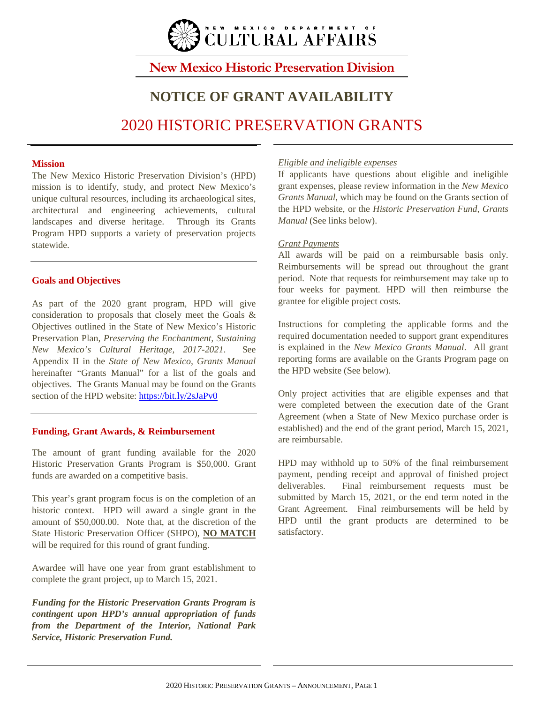

## **New Mexico Historic Preservation Division**

# **NOTICE OF GRANT AVAILABILITY** 2020 HISTORIC PRESERVATION GRANTS

### **Mission**

The New Mexico Historic Preservation Division's (HPD) mission is to identify, study, and protect New Mexico's unique cultural resources, including its archaeological sites, architectural and engineering achievements, cultural landscapes and diverse heritage. Through its Grants Program HPD supports a variety of preservation projects statewide.

### **Goals and Objectives**

As part of the 2020 grant program, HPD will give consideration to proposals that closely meet the Goals & Objectives outlined in the State of New Mexico's Historic Preservation Plan, *Preserving the Enchantment, Sustaining New Mexico's Cultural Heritage, 2017-2021*. See Appendix II in the *State of New Mexico, Grants Manual* hereinafter "Grants Manual" for a list of the goals and objectives. The Grants Manual may be found on the Grants section of the HPD website:<https://bit.ly/2sJaPv0>

### **Funding, Grant Awards, & Reimbursement**

The amount of grant funding available for the 2020 Historic Preservation Grants Program is \$50,000. Grant funds are awarded on a competitive basis.

This year's grant program focus is on the completion of an historic context. HPD will award a single grant in the amount of \$50,000.00. Note that, at the discretion of the State Historic Preservation Officer (SHPO), **NO MATCH** will be required for this round of grant funding.

Awardee will have one year from grant establishment to complete the grant project, up to March 15, 2021.

*Funding for the Historic Preservation Grants Program is contingent upon HPD's annual appropriation of funds from the Department of the Interior, National Park Service, Historic Preservation Fund.* 

### *Eligible and ineligible expenses*

If applicants have questions about eligible and ineligible grant expenses, please review information in the *New Mexico Grants Manual*, which may be found on the Grants section of the HPD website, or the *Historic Preservation Fund, Grants Manual* (See links below).

### *Grant Payments*

All awards will be paid on a reimbursable basis only. Reimbursements will be spread out throughout the grant period. Note that requests for reimbursement may take up to four weeks for payment. HPD will then reimburse the grantee for eligible project costs.

Instructions for completing the applicable forms and the required documentation needed to support grant expenditures is explained in the *New Mexico Grants Manual*. All grant reporting forms are available on the Grants Program page on the HPD website (See below).

Only project activities that are eligible expenses and that were completed between the execution date of the Grant Agreement (when a State of New Mexico purchase order is established) and the end of the grant period, March 15, 2021, are reimbursable.

HPD may withhold up to 50% of the final reimbursement payment, pending receipt and approval of finished project deliverables. Final reimbursement requests must be submitted by March 15, 2021, or the end term noted in the Grant Agreement. Final reimbursements will be held by HPD until the grant products are determined to be satisfactory.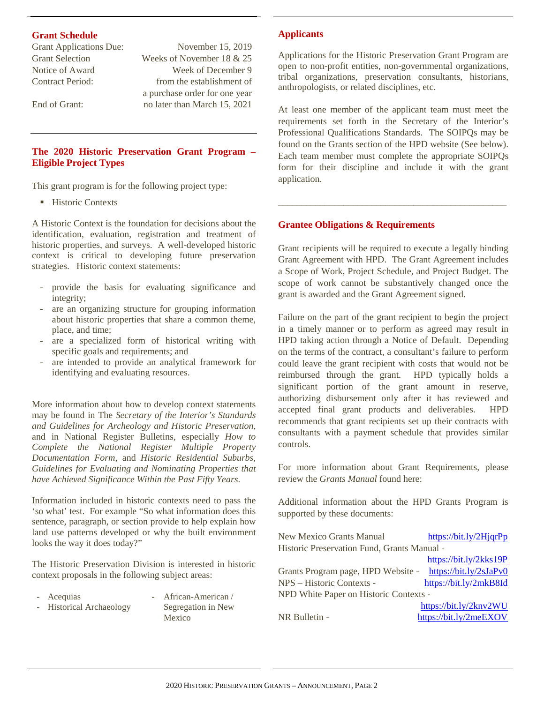### **Grant Schedule**

Grant Applications Due: November 15, 2019

Grant Selection Weeks of November 18 & 25 Notice of Award Week of December 9 Contract Period: from the establishment of a purchase order for one year End of Grant: no later than March 15, 2021

### **The 2020 Historic Preservation Grant Program – Eligible Project Types**

This grant program is for the following project type:

**Historic Contexts** 

A Historic Context is the foundation for decisions about the identification, evaluation, registration and treatment of historic properties, and surveys. A well-developed historic context is critical to developing future preservation strategies. Historic context statements:

- provide the basis for evaluating significance and integrity;
- are an organizing structure for grouping information about historic properties that share a common theme, place, and time;
- are a specialized form of historical writing with specific goals and requirements; and
- are intended to provide an analytical framework for identifying and evaluating resources.

More information about how to develop context statements may be found in The *Secretary of the Interior's Standards and Guidelines for Archeology and Historic Preservation*, and in National Register Bulletins, especially *How to Complete the National Register Multiple Property Documentation Form*, and *Historic Residential Suburbs, Guidelines for Evaluating and Nominating Properties that have Achieved Significance Within the Past Fifty Years*.

Information included in historic contexts need to pass the 'so what' test. For example "So what information does this sentence, paragraph, or section provide to help explain how land use patterns developed or why the built environment looks the way it does today?"

The Historic Preservation Division is interested in historic context proposals in the following subject areas:

Historical Archaeology

- Acequias African-American / Segregation in New
	- Mexico

### **Applicants**

Applications for the Historic Preservation Grant Program are open to non-profit entities, non-governmental organizations, tribal organizations, preservation consultants, historians, anthropologists, or related disciplines, etc.

At least one member of the applicant team must meet the requirements set forth in the Secretary of the Interior's Professional Qualifications Standards. The SOIPQs may be found on the Grants section of the HPD website (See below). Each team member must complete the appropriate SOIPQs form for their discipline and include it with the grant application.

\_\_\_\_\_\_\_\_\_\_\_\_\_\_\_\_\_\_\_\_\_\_\_\_\_\_\_\_\_\_\_\_\_\_\_\_\_\_\_\_\_\_\_\_\_\_\_\_\_

### **Grantee Obligations & Requirements**

Grant recipients will be required to execute a legally binding Grant Agreement with HPD. The Grant Agreement includes a Scope of Work, Project Schedule, and Project Budget. The scope of work cannot be substantively changed once the grant is awarded and the Grant Agreement signed.

Failure on the part of the grant recipient to begin the project in a timely manner or to perform as agreed may result in HPD taking action through a Notice of Default. Depending on the terms of the contract, a consultant's failure to perform could leave the grant recipient with costs that would not be reimbursed through the grant. HPD typically holds a significant portion of the grant amount in reserve, authorizing disbursement only after it has reviewed and accepted final grant products and deliverables. HPD recommends that grant recipients set up their contracts with consultants with a payment schedule that provides similar controls.

For more information about Grant Requirements, please review the *Grants Manual* found here:

Additional information about the HPD Grants Program is supported by these documents:

| New Mexico Grants Manual                    | $\frac{https://bit.ly/2HjqrPp}{theq}$ |
|---------------------------------------------|---------------------------------------|
| Historic Preservation Fund, Grants Manual - |                                       |
|                                             | https://bit.ly/2kks19P                |
| Grants Program page, HPD Website -          | https://bit.ly/2sJaPv0                |
| NPS – Historic Contexts -                   | https://bit.ly/2mkB8Id                |
| NPD White Paper on Historic Contexts -      |                                       |
|                                             | https://bit.ly/2knv2WU                |
| NR Bulletin -                               | https://bit.ly/2meEXOV                |